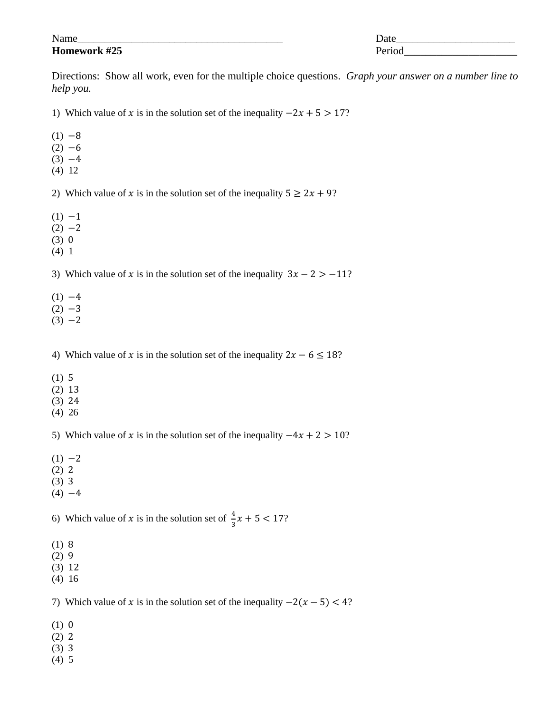Name\_\_\_\_\_\_\_\_\_\_\_\_\_\_\_\_\_\_\_\_\_\_\_\_\_\_\_\_\_\_\_\_\_\_\_\_\_\_ Date\_\_\_\_\_\_\_\_\_\_\_\_\_\_\_\_\_\_\_\_\_\_ **Homework #25** Period

Directions: Show all work, even for the multiple choice questions. *Graph your answer on a number line to help you.*

1) Which value of x is in the solution set of the inequality  $-2x + 5 > 17$ ?

- $(1) -8$
- $(2) -6$
- $(3) -4$
- (4) 12

2) Which value of x is in the solution set of the inequality  $5 \ge 2x + 9$ ?

- $(1) -1$
- $(2) -2$
- $(3) 0$
- (4) 1

3) Which value of x is in the solution set of the inequality  $3x - 2 > -11$ ?

- $(1) -4$
- $(2) -3$
- $(3) -2$

4) Which value of x is in the solution set of the inequality  $2x - 6 \le 18$ ?

- $(1) 5$
- (2)
- (3)
- (4) 26

5) Which value of x is in the solution set of the inequality  $-4x + 2 > 10$ ?

- $(1) -2$
- $(2) 2$
- $(3)$  3
- $(4) -4$

6) Which value of x is in the solution set of  $\frac{4}{3}x + 5 < 17$ ?

- $(1) 8$
- $(2)9$
- $(3) 12$
- (4) 16

7) Which value of x is in the solution set of the inequality  $-2(x-5) < 4$ ?

- $(1) 0$
- $(2) 2$
- $(3)$  3
- (4) 5